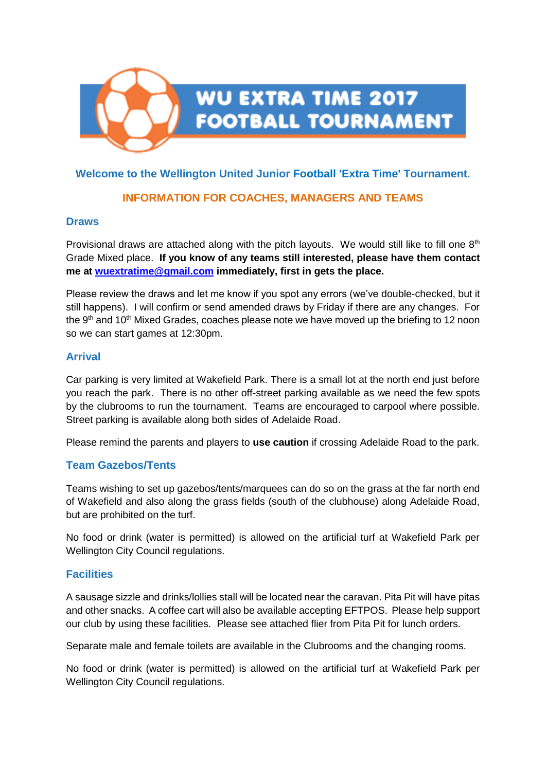

# **Welcome to the Wellington United Junior Football 'Extra Time' Tournament.**

# **INFORMATION FOR COACHES, MANAGERS AND TEAMS**

#### **Draws**

Provisional draws are attached along with the pitch layouts. We would still like to fill one  $8<sup>th</sup>$ Grade Mixed place. **If you know of any teams still interested, please have them contact me at [wuextratime@gmail.com](mailto:wuextratime@gmail.com) immediately, first in gets the place.**

Please review the draws and let me know if you spot any errors (we've double-checked, but it still happens). I will confirm or send amended draws by Friday if there are any changes. For the  $9<sup>th</sup>$  and 10<sup>th</sup> Mixed Grades, coaches please note we have moved up the briefing to 12 noon so we can start games at 12:30pm.

## **Arrival**

Car parking is very limited at Wakefield Park. There is a small lot at the north end just before you reach the park. There is no other off-street parking available as we need the few spots by the clubrooms to run the tournament. Teams are encouraged to carpool where possible. Street parking is available along both sides of Adelaide Road.

Please remind the parents and players to **use caution** if crossing Adelaide Road to the park.

## **Team Gazebos/Tents**

Teams wishing to set up gazebos/tents/marquees can do so on the grass at the far north end of Wakefield and also along the grass fields (south of the clubhouse) along Adelaide Road, but are prohibited on the turf.

No food or drink (water is permitted) is allowed on the artificial turf at Wakefield Park per Wellington City Council regulations.

## **Facilities**

A sausage sizzle and drinks/lollies stall will be located near the caravan. Pita Pit will have pitas and other snacks. A coffee cart will also be available accepting EFTPOS. Please help support our club by using these facilities. Please see attached flier from Pita Pit for lunch orders.

Separate male and female toilets are available in the Clubrooms and the changing rooms.

No food or drink (water is permitted) is allowed on the artificial turf at Wakefield Park per Wellington City Council regulations.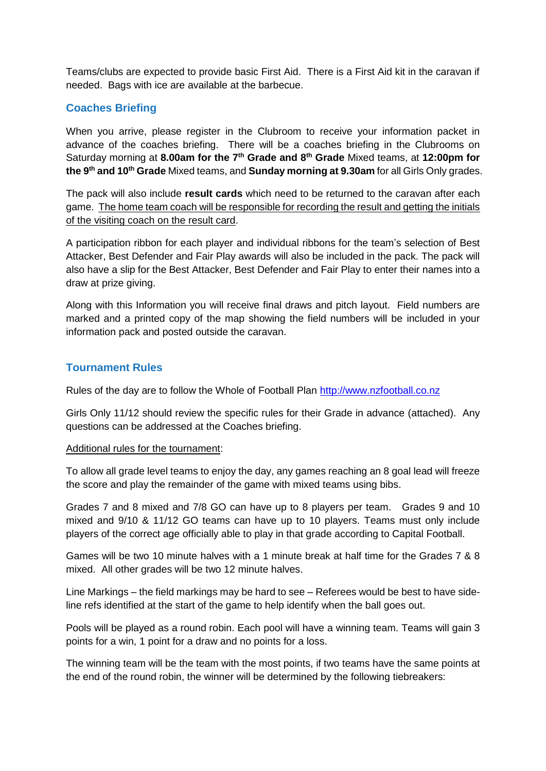Teams/clubs are expected to provide basic First Aid. There is a First Aid kit in the caravan if needed. Bags with ice are available at the barbecue.

## **Coaches Briefing**

When you arrive, please register in the Clubroom to receive your information packet in advance of the coaches briefing. There will be a coaches briefing in the Clubrooms on Saturday morning at **8.00am for the 7th Grade and 8th Grade** Mixed teams, at **12:00pm for the 9th and 10th Grade** Mixed teams, and **Sunday morning at 9.30am** for all Girls Only grades.

The pack will also include **result cards** which need to be returned to the caravan after each game. The home team coach will be responsible for recording the result and getting the initials of the visiting coach on the result card.

A participation ribbon for each player and individual ribbons for the team's selection of Best Attacker, Best Defender and Fair Play awards will also be included in the pack. The pack will also have a slip for the Best Attacker, Best Defender and Fair Play to enter their names into a draw at prize giving.

Along with this Information you will receive final draws and pitch layout. Field numbers are marked and a printed copy of the map showing the field numbers will be included in your information pack and posted outside the caravan.

## **Tournament Rules**

Rules of the day are to follow the Whole of Football Plan [http://www.nzfootball.co.nz](http://www.nzfootball.co.nz/)

Girls Only 11/12 should review the specific rules for their Grade in advance (attached). Any questions can be addressed at the Coaches briefing.

#### Additional rules for the tournament:

To allow all grade level teams to enjoy the day, any games reaching an 8 goal lead will freeze the score and play the remainder of the game with mixed teams using bibs.

Grades 7 and 8 mixed and 7/8 GO can have up to 8 players per team. Grades 9 and 10 mixed and 9/10 & 11/12 GO teams can have up to 10 players. Teams must only include players of the correct age officially able to play in that grade according to Capital Football.

Games will be two 10 minute halves with a 1 minute break at half time for the Grades 7 & 8 mixed. All other grades will be two 12 minute halves.

Line Markings – the field markings may be hard to see – Referees would be best to have sideline refs identified at the start of the game to help identify when the ball goes out.

Pools will be played as a round robin. Each pool will have a winning team. Teams will gain 3 points for a win, 1 point for a draw and no points for a loss.

The winning team will be the team with the most points, if two teams have the same points at the end of the round robin, the winner will be determined by the following tiebreakers: